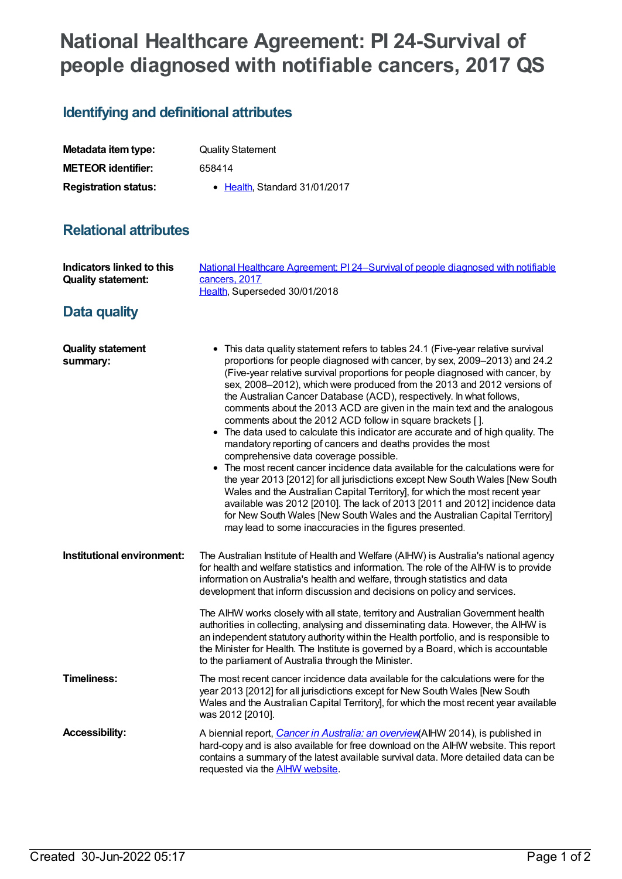# **National Healthcare Agreement: PI 24-Survival of people diagnosed with notifiable cancers, 2017 QS**

## **Identifying and definitional attributes**

| Metadata item type:         | <b>Quality Statement</b>              |
|-----------------------------|---------------------------------------|
| <b>METEOR identifier:</b>   | 658414                                |
| <b>Registration status:</b> | $\bullet$ Health. Standard 31/01/2017 |

### **Relational attributes**

| Indicators linked to this<br><b>Quality statement:</b> | National Healthcare Agreement: PI 24-Survival of people diagnosed with notifiable<br>cancers, 2017<br>Health, Superseded 30/01/2018                                                                                                                                                                                                                                                                                                                                                                                                                                                                                                                                                                                                                                                                                                                                                                                                                                                                                                                                                                                                                                                                               |
|--------------------------------------------------------|-------------------------------------------------------------------------------------------------------------------------------------------------------------------------------------------------------------------------------------------------------------------------------------------------------------------------------------------------------------------------------------------------------------------------------------------------------------------------------------------------------------------------------------------------------------------------------------------------------------------------------------------------------------------------------------------------------------------------------------------------------------------------------------------------------------------------------------------------------------------------------------------------------------------------------------------------------------------------------------------------------------------------------------------------------------------------------------------------------------------------------------------------------------------------------------------------------------------|
| Data quality                                           |                                                                                                                                                                                                                                                                                                                                                                                                                                                                                                                                                                                                                                                                                                                                                                                                                                                                                                                                                                                                                                                                                                                                                                                                                   |
| <b>Quality statement</b><br>summary:                   | • This data quality statement refers to tables 24.1 (Five-year relative survival<br>proportions for people diagnosed with cancer, by sex, 2009–2013) and 24.2<br>(Five-year relative survival proportions for people diagnosed with cancer, by<br>sex, 2008-2012), which were produced from the 2013 and 2012 versions of<br>the Australian Cancer Database (ACD), respectively. In what follows,<br>comments about the 2013 ACD are given in the main text and the analogous<br>comments about the 2012 ACD follow in square brackets [ ].<br>• The data used to calculate this indicator are accurate and of high quality. The<br>mandatory reporting of cancers and deaths provides the most<br>comprehensive data coverage possible.<br>• The most recent cancer incidence data available for the calculations were for<br>the year 2013 [2012] for all jurisdictions except New South Wales [New South<br>Wales and the Australian Capital Territory], for which the most recent year<br>available was 2012 [2010]. The lack of 2013 [2011 and 2012] incidence data<br>for New South Wales [New South Wales and the Australian Capital Territory]<br>may lead to some inaccuracies in the figures presented. |
| Institutional environment:                             | The Australian Institute of Health and Welfare (AIHW) is Australia's national agency<br>for health and welfare statistics and information. The role of the AIHW is to provide<br>information on Australia's health and welfare, through statistics and data<br>development that inform discussion and decisions on policy and services.                                                                                                                                                                                                                                                                                                                                                                                                                                                                                                                                                                                                                                                                                                                                                                                                                                                                           |
|                                                        | The AIHW works closely with all state, territory and Australian Government health<br>authorities in collecting, analysing and disseminating data. However, the AIHW is<br>an independent statutory authority within the Health portfolio, and is responsible to<br>the Minister for Health. The Institute is governed by a Board, which is accountable<br>to the parliament of Australia through the Minister.                                                                                                                                                                                                                                                                                                                                                                                                                                                                                                                                                                                                                                                                                                                                                                                                    |
| <b>Timeliness:</b>                                     | The most recent cancer incidence data available for the calculations were for the<br>year 2013 [2012] for all jurisdictions except for New South Wales [New South<br>Wales and the Australian Capital Territory], for which the most recent year available<br>was 2012 [2010].                                                                                                                                                                                                                                                                                                                                                                                                                                                                                                                                                                                                                                                                                                                                                                                                                                                                                                                                    |
| <b>Accessibility:</b>                                  | A biennial report, <i>Cancer in Australia: an overview</i> (AIHW 2014), is published in<br>hard-copy and is also available for free download on the AIHW website. This report<br>contains a summary of the latest available survival data. More detailed data can be<br>requested via the <b>AIHW</b> website.                                                                                                                                                                                                                                                                                                                                                                                                                                                                                                                                                                                                                                                                                                                                                                                                                                                                                                    |